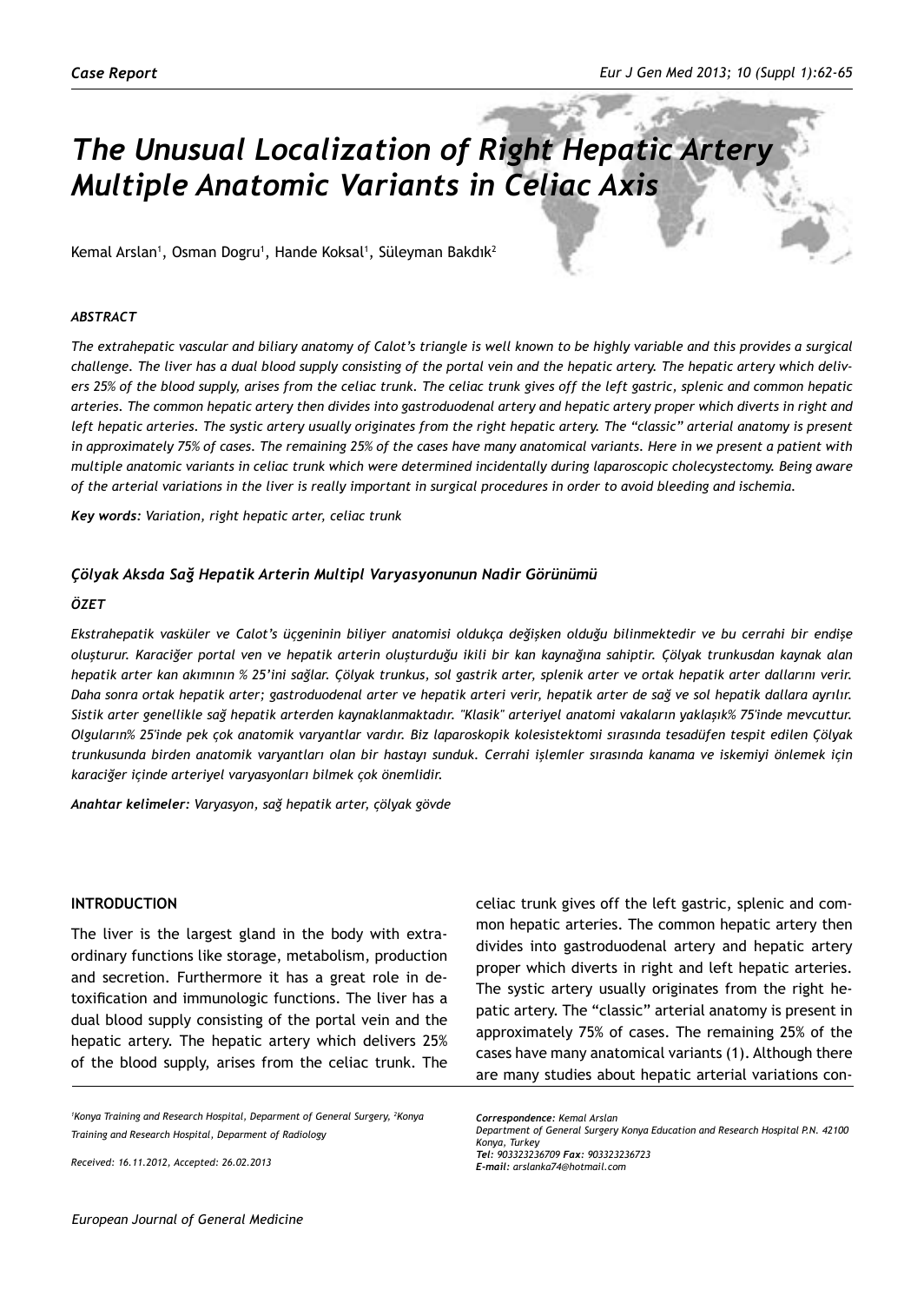# *The Unusual Localization of Right Hepatic Artery Multiple Anatomic Variants in Celiac Axis*

Kemal Arslan<sup>1</sup>, Osman Dogru<sup>1</sup>, Hande Koksal<sup>1</sup>, Süleyman Bakdık<sup>2</sup>

#### *ABSTRACT*

*The extrahepatic vascular and biliary anatomy of Calot's triangle is well known to be highly variable and this provides a surgical challenge. The liver has a dual blood supply consisting of the portal vein and the hepatic artery. The hepatic artery which delivers 25% of the blood supply, arises from the celiac trunk. The celiac trunk gives off the left gastric, splenic and common hepatic arteries. The common hepatic artery then divides into gastroduodenal artery and hepatic artery proper which diverts in right and*  left hepatic arteries. The systic artery usually originates from the right hepatic artery. The "classic" arterial anatomy is present *in approximately 75% of cases. The remaining 25% of the cases have many anatomical variants. Here in we present a patient with multiple anatomic variants in celiac trunk which were determined incidentally during laparoscopic cholecystectomy. Being aware of the arterial variations in the liver is really important in surgical procedures in order to avoid bleeding and ischemia.*

*Key words: Variation, right hepatic arter, celiac trunk*

#### *Çölyak Aksda Sağ Hepatik Arterin Multipl Varyasyonunun Nadir Görünümü*

#### *ÖZET*

*Ekstrahepatik vasküler ve Calot's üçgeninin biliyer anatomisi oldukça değişken olduğu bilinmektedir ve bu cerrahi bir endişe oluşturur. Karaciğer portal ven ve hepatik arterin oluşturduğu ikili bir kan kaynağına sahiptir. Çölyak trunkusdan kaynak alan hepatik arter kan akımının % 25'ini sağlar. Çölyak trunkus, sol gastrik arter, splenik arter ve ortak hepatik arter dallarını verir. Daha sonra ortak hepatik arter; gastroduodenal arter ve hepatik arteri verir, hepatik arter de sağ ve sol hepatik dallara ayrılır. Sistik arter genellikle sağ hepatik arterden kaynaklanmaktadır. "Klasik" arteriyel anatomi vakaların yaklaşık% 75'inde mevcuttur. Olguların% 25'inde pek çok anatomik varyantlar vardır. Biz laparoskopik kolesistektomi sırasında tesadüfen tespit edilen Çölyak trunkusunda birden anatomik varyantları olan bir hastayı sunduk. Cerrahi işlemler sırasında kanama ve iskemiyi önlemek için karaciğer içinde arteriyel varyasyonları bilmek çok önemlidir.*

*Anahtar kelimeler: Varyasyon, sağ hepatik arter, çölyak gövde*

#### **Introduction**

The liver is the largest gland in the body with extraordinary functions like storage, metabolism, production and secretion. Furthermore it has a great role in detoxification and immunologic functions. The liver has a dual blood supply consisting of the portal vein and the hepatic artery. The hepatic artery which delivers 25% of the blood supply, arises from the celiac trunk. The

<sup>1</sup> Konya Training and Research Hospital, Deparment of General Surgery, <sup>2</sup> Konya *Training and Research Hospital, Deparment of Radiology* 

*Received: 16.11.2012, Accepted: 26.02.2013*

celiac trunk gives off the left gastric, splenic and common hepatic arteries. The common hepatic artery then divides into gastroduodenal artery and hepatic artery proper which diverts in right and left hepatic arteries. The systic artery usually originates from the right hepatic artery. The "classic" arterial anatomy is present in approximately 75% of cases. The remaining 25% of the cases have many anatomical variants (1). Although there are many studies about hepatic arterial variations con-

*Correspondence: Kemal Arslan Department of General Surgery Konya Education and Research Hospital P.N. 42100 Konya, Turkey Tel: 903323236709 Fax: 903323236723 E-mail: arslanka74@hotmail.com*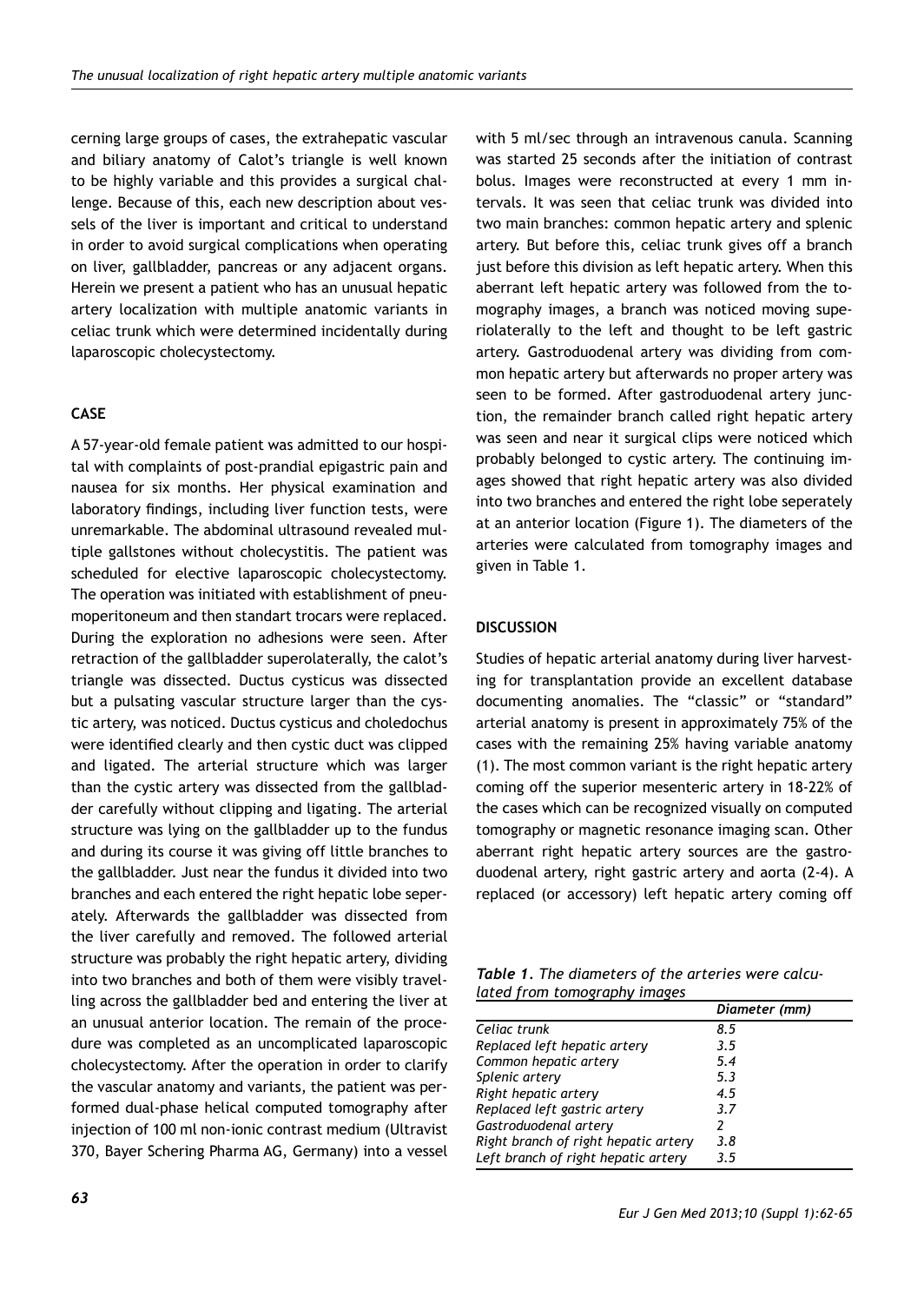cerning large groups of cases, the extrahepatic vascular and biliary anatomy of Calot's triangle is well known to be highly variable and this provides a surgical challenge. Because of this, each new description about vessels of the liver is important and critical to understand in order to avoid surgical complications when operating on liver, gallbladder, pancreas or any adjacent organs. Herein we present a patient who has an unusual hepatic artery localization with multiple anatomic variants in celiac trunk which were determined incidentally during laparoscopic cholecystectomy.

### **CASE**

A 57-year-old female patient was admitted to our hospital with complaints of post-prandial epigastric pain and nausea for six months. Her physical examination and laboratory findings, including liver function tests, were unremarkable. The abdominal ultrasound revealed multiple gallstones without cholecystitis. The patient was scheduled for elective laparoscopic cholecystectomy. The operation was initiated with establishment of pneumoperitoneum and then standart trocars were replaced. During the exploration no adhesions were seen. After retraction of the gallbladder superolaterally, the calot's triangle was dissected. Ductus cysticus was dissected but a pulsating vascular structure larger than the cystic artery, was noticed. Ductus cysticus and choledochus were identified clearly and then cystic duct was clipped and ligated. The arterial structure which was larger than the cystic artery was dissected from the gallbladder carefully without clipping and ligating. The arterial structure was lying on the gallbladder up to the fundus and during its course it was giving off little branches to the gallbladder. Just near the fundus it divided into two branches and each entered the right hepatic lobe seperately. Afterwards the gallbladder was dissected from the liver carefully and removed. The followed arterial structure was probably the right hepatic artery, dividing into two branches and both of them were visibly travelling across the gallbladder bed and entering the liver at an unusual anterior location. The remain of the procedure was completed as an uncomplicated laparoscopic cholecystectomy. After the operation in order to clarify the vascular anatomy and variants, the patient was performed dual-phase helical computed tomography after injection of 100 ml non-ionic contrast medium (Ultravist 370, Bayer Schering Pharma AG, Germany) into a vessel

with 5 ml/sec through an intravenous canula. Scanning was started 25 seconds after the initiation of contrast bolus. Images were reconstructed at every 1 mm intervals. It was seen that celiac trunk was divided into two main branches: common hepatic artery and splenic artery. But before this, celiac trunk gives off a branch just before this division as left hepatic artery. When this aberrant left hepatic artery was followed from the tomography images, a branch was noticed moving superiolaterally to the left and thought to be left gastric artery. Gastroduodenal artery was dividing from common hepatic artery but afterwards no proper artery was seen to be formed. After gastroduodenal artery junction, the remainder branch called right hepatic artery was seen and near it surgical clips were noticed which probably belonged to cystic artery. The continuing images showed that right hepatic artery was also divided into two branches and entered the right lobe seperately at an anterior location (Figure 1). The diameters of the arteries were calculated from tomography images and given in Table 1.

## **DISCUSSION**

Studies of hepatic arterial anatomy during liver harvesting for transplantation provide an excellent database documenting anomalies. The "classic" or "standard" arterial anatomy is present in approximately 75% of the cases with the remaining 25% having variable anatomy (1). The most common variant is the right hepatic artery coming off the superior mesenteric artery in 18-22% of the cases which can be recognized visually on computed tomography or magnetic resonance imaging scan. Other aberrant right hepatic artery sources are the gastroduodenal artery, right gastric artery and aorta (2-4). A replaced (or accessory) left hepatic artery coming off

*Table 1. The diameters of the arteries were calculated from tomography images*

|                                      | Diameter (mm) |
|--------------------------------------|---------------|
| Celiac trunk                         | 8.5           |
| Replaced left hepatic artery         | 3.5           |
| Common hepatic artery                | 5.4           |
| Splenic artery                       | 5.3           |
| Right hepatic artery                 | 4.5           |
| Replaced left gastric artery         | 3.7           |
| Gastroduodenal artery                |               |
| Right branch of right hepatic artery | 3.8           |
| Left branch of right hepatic artery  | 3.5           |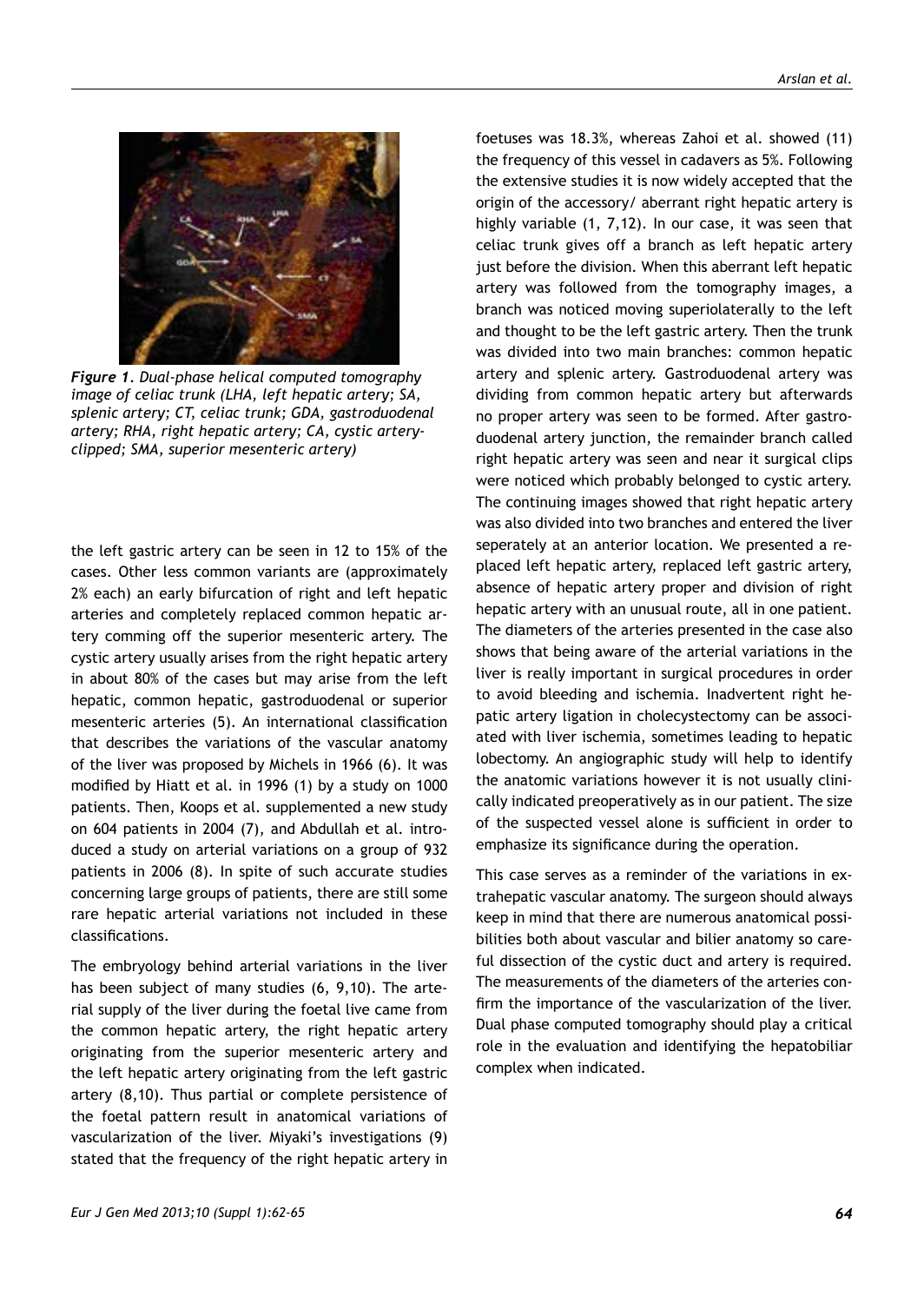

*Figure 1. Dual-phase helical computed tomography image of celiac trunk (LHA, left hepatic artery; SA, splenic artery; CT, celiac trunk; GDA, gastroduodenal artery; RHA, right hepatic artery; CA, cystic arteryclipped; SMA, superior mesenteric artery)*

the left gastric artery can be seen in 12 to 15% of the cases. Other less common variants are (approximately 2% each) an early bifurcation of right and left hepatic arteries and completely replaced common hepatic artery comming off the superior mesenteric artery. The cystic artery usually arises from the right hepatic artery in about 80% of the cases but may arise from the left hepatic, common hepatic, gastroduodenal or superior mesenteric arteries (5). An international classification that describes the variations of the vascular anatomy of the liver was proposed by Michels in 1966 (6). It was modified by Hiatt et al. in 1996 (1) by a study on 1000 patients. Then, Koops et al. supplemented a new study on 604 patients in 2004 (7), and Abdullah et al. introduced a study on arterial variations on a group of 932 patients in 2006 (8). In spite of such accurate studies concerning large groups of patients, there are still some rare hepatic arterial variations not included in these classifications.

The embryology behind arterial variations in the liver has been subject of many studies (6, 9,10). The arterial supply of the liver during the foetal live came from the common hepatic artery, the right hepatic artery originating from the superior mesenteric artery and the left hepatic artery originating from the left gastric artery (8,10). Thus partial or complete persistence of the foetal pattern result in anatomical variations of vascularization of the liver. Miyaki's investigations (9) stated that the frequency of the right hepatic artery in

foetuses was 18.3%, whereas Zahoi et al. showed (11) the frequency of this vessel in cadavers as 5%. Following the extensive studies it is now widely accepted that the origin of the accessory/ aberrant right hepatic artery is highly variable (1, 7,12). In our case, it was seen that celiac trunk gives off a branch as left hepatic artery just before the division. When this aberrant left hepatic artery was followed from the tomography images, a branch was noticed moving superiolaterally to the left and thought to be the left gastric artery. Then the trunk was divided into two main branches: common hepatic artery and splenic artery. Gastroduodenal artery was dividing from common hepatic artery but afterwards no proper artery was seen to be formed. After gastroduodenal artery junction, the remainder branch called right hepatic artery was seen and near it surgical clips were noticed which probably belonged to cystic artery. The continuing images showed that right hepatic artery was also divided into two branches and entered the liver seperately at an anterior location. We presented a replaced left hepatic artery, replaced left gastric artery, absence of hepatic artery proper and division of right hepatic artery with an unusual route, all in one patient. The diameters of the arteries presented in the case also shows that being aware of the arterial variations in the liver is really important in surgical procedures in order to avoid bleeding and ischemia. Inadvertent right hepatic artery ligation in cholecystectomy can be associated with liver ischemia, sometimes leading to hepatic lobectomy. An angiographic study will help to identify the anatomic variations however it is not usually clinically indicated preoperatively as in our patient. The size of the suspected vessel alone is sufficient in order to emphasize its significance during the operation.

This case serves as a reminder of the variations in extrahepatic vascular anatomy. The surgeon should always keep in mind that there are numerous anatomical possibilities both about vascular and bilier anatomy so careful dissection of the cystic duct and artery is required. The measurements of the diameters of the arteries confirm the importance of the vascularization of the liver. Dual phase computed tomography should play a critical role in the evaluation and identifying the hepatobiliar complex when indicated.